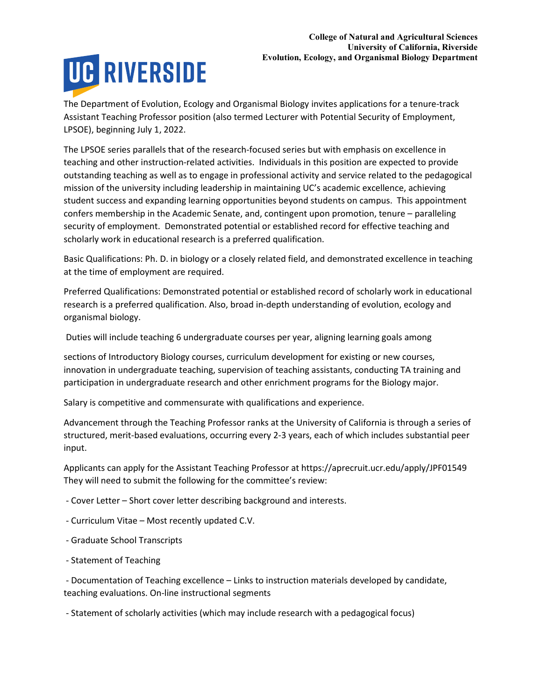The Department of Evolution, Ecology and Organismal Biology invites applications for a tenure-track Assistant Teaching Professor position (also termed Lecturer with Potential Security of Employment, LPSOE), beginning July 1, 2022.

The LPSOE series parallels that of the research-focused series but with emphasis on excellence in teaching and other instruction-related activities. Individuals in this position are expected to provide outstanding teaching as well as to engage in professional activity and service related to the pedagogical mission of the university including leadership in maintaining UC's academic excellence, achieving student success and expanding learning opportunities beyond students on campus. This appointment confers membership in the Academic Senate, and, contingent upon promotion, tenure – paralleling security of employment. Demonstrated potential or established record for effective teaching and scholarly work in educational research is a preferred qualification.

Basic Qualifications: Ph. D. in biology or a closely related field, and demonstrated excellence in teaching at the time of employment are required.

Preferred Qualifications: Demonstrated potential or established record of scholarly work in educational research is a preferred qualification. Also, broad in-depth understanding of evolution, ecology and organismal biology.

Duties will include teaching 6 undergraduate courses per year, aligning learning goals among

sections of Introductory Biology courses, curriculum development for existing or new courses, innovation in undergraduate teaching, supervision of teaching assistants, conducting TA training and participation in undergraduate research and other enrichment programs for the Biology major.

Salary is competitive and commensurate with qualifications and experience.

Advancement through the Teaching Professor ranks at the University of California is through a series of structured, merit-based evaluations, occurring every 2-3 years, each of which includes substantial peer input.

Applicants can apply for the Assistant Teaching Professor at https://aprecruit.ucr.edu/apply/JPF01549 They will need to submit the following for the committee's review:

- Cover Letter – Short cover letter describing background and interests.

- Curriculum Vitae Most recently updated C.V.
- Graduate School Transcripts
- Statement of Teaching

 - Documentation of Teaching excellence – Links to instruction materials developed by candidate, teaching evaluations. On-line instructional segments

- Statement of scholarly activities (which may include research with a pedagogical focus)